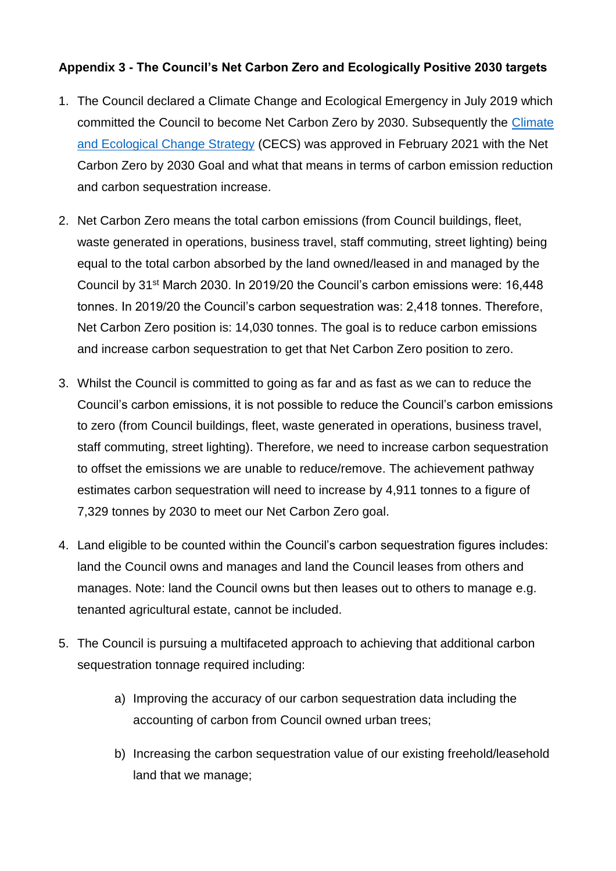## **Appendix 3 - The Council's Net Carbon Zero and Ecologically Positive 2030 targets**

- 1. The Council declared a Climate Change and Ecological Emergency in July 2019 which committed the Council to become Net Carbon Zero by 2030. Subsequently the [Climate](https://www.denbighshire.gov.uk/en/your-council/strategies-plans-and-policies/strategies/climate-and-ecological-change-strategy.aspx)  [and Ecological Change Strategy](https://www.denbighshire.gov.uk/en/your-council/strategies-plans-and-policies/strategies/climate-and-ecological-change-strategy.aspx) (CECS) was approved in February 2021 with the Net Carbon Zero by 2030 Goal and what that means in terms of carbon emission reduction and carbon sequestration increase.
- 2. Net Carbon Zero means the total carbon emissions (from Council buildings, fleet, waste generated in operations, business travel, staff commuting, street lighting) being equal to the total carbon absorbed by the land owned/leased in and managed by the Council by 31st March 2030. In 2019/20 the Council's carbon emissions were: 16,448 tonnes. In 2019/20 the Council's carbon sequestration was: 2,418 tonnes. Therefore, Net Carbon Zero position is: 14,030 tonnes. The goal is to reduce carbon emissions and increase carbon sequestration to get that Net Carbon Zero position to zero.
- 3. Whilst the Council is committed to going as far and as fast as we can to reduce the Council's carbon emissions, it is not possible to reduce the Council's carbon emissions to zero (from Council buildings, fleet, waste generated in operations, business travel, staff commuting, street lighting). Therefore, we need to increase carbon sequestration to offset the emissions we are unable to reduce/remove. The achievement pathway estimates carbon sequestration will need to increase by 4,911 tonnes to a figure of 7,329 tonnes by 2030 to meet our Net Carbon Zero goal.
- 4. Land eligible to be counted within the Council's carbon sequestration figures includes: land the Council owns and manages and land the Council leases from others and manages. Note: land the Council owns but then leases out to others to manage e.g. tenanted agricultural estate, cannot be included.
- 5. The Council is pursuing a multifaceted approach to achieving that additional carbon sequestration tonnage required including:
	- a) Improving the accuracy of our carbon sequestration data including the accounting of carbon from Council owned urban trees;
	- b) Increasing the carbon sequestration value of our existing freehold/leasehold land that we manage;